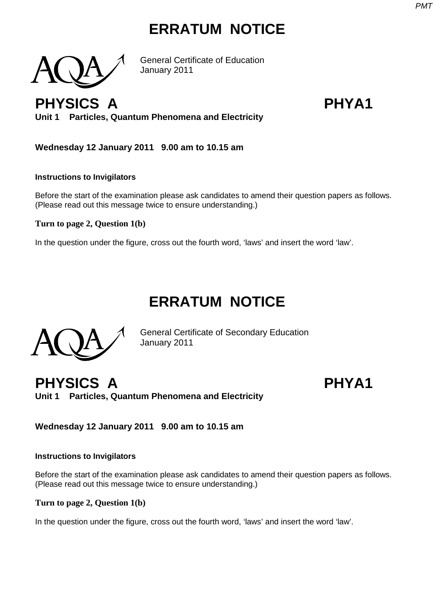## **ERRATUM NOTICE**

General Certificate of Education January 2011

**PHYSICS A PHYA1 Unit 1 Particles, Quantum Phenomena and Electricity**

**Wednesday 12 January 2011 9.00 am to 10.15 am**

### **Instructions to Invigilators**

Before the start of the examination please ask candidates to amend their question papers as follows. (Please read out this message twice to ensure understanding.)

### **Turn to page 2, Question 1(b)**

In the question under the figure, cross out the fourth word, 'laws' and insert the word 'law'.

## **ERRATUM NOTICE**

General Certificate of Secondary Education January 2011

**PHYSICS A PHYA1 Unit 1 Particles, Quantum Phenomena and Electricity**

**Wednesday 12 January 2011 9.00 am to 10.15 am**

### **Instructions to Invigilators**

Before the start of the examination please ask candidates to amend their question papers as follows. (Please read out this message twice to ensure understanding.)

**Turn to page 2, Question 1(b)**

In the question under the figure, cross out the fourth word, 'laws' and insert the word 'law'.







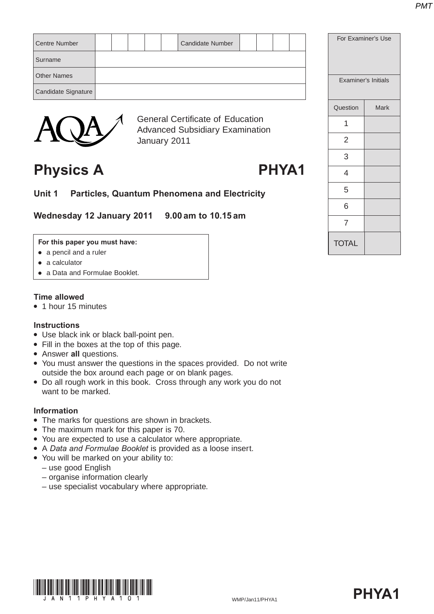| Centre Number       |  |  | <b>Candidate Number</b> |  |  |
|---------------------|--|--|-------------------------|--|--|
| Surname             |  |  |                         |  |  |
| <b>Other Names</b>  |  |  |                         |  |  |
| Candidate Signature |  |  |                         |  |  |
|                     |  |  |                         |  |  |



General Certificate of Education Advanced Subsidiary Examination January 2011

## **Physics A PHYA1**

**Unit 1 Particles, Quantum Phenomena and Electricity**

**Wednesday 12 January 2011 9.00 am to 10.15 am**

### **For this paper you must have:**

- $\bullet$  a pencil and a ruler
- $\bullet$  a calculator
- a Data and Formulae Booklet.

### **Time allowed**

• 1 hour 15 minutes

### **Instructions**

- Use black ink or black ball-point pen.
- Fill in the boxes at the top of this page.
- **Answer all questions.**
- You must answer the questions in the spaces provided. Do not write outside the box around each page or on blank pages.
- Do all rough work in this book. Cross through any work you do not want to be marked.

### **Information**

- The marks for questions are shown in brackets.
- The maximum mark for this paper is 70.
- You are expected to use a calculator where appropriate.
- A *Data and Formulae Booklet* is provided as a loose insert.
- You will be marked on your ability to:
	- use good English
	- organise information clearly
	- use specialist vocabulary where appropriate.

| For Examiner's Use |                     |  |  |  |  |
|--------------------|---------------------|--|--|--|--|
|                    | Examiner's Initials |  |  |  |  |
| Question           | Mark                |  |  |  |  |
| 1                  |                     |  |  |  |  |
| 2                  |                     |  |  |  |  |
| 3                  |                     |  |  |  |  |
| 4                  |                     |  |  |  |  |
| 5                  |                     |  |  |  |  |
| 6                  |                     |  |  |  |  |
| 7                  |                     |  |  |  |  |
| <b>TOTAL</b>       |                     |  |  |  |  |



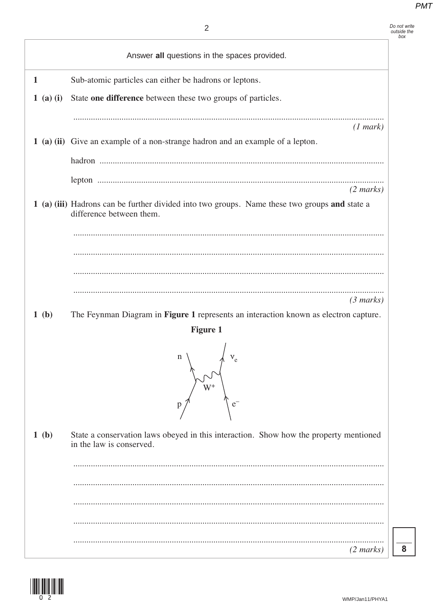|              | $\overline{2}$                                                                                                            | Do not write<br>outside the<br>box |
|--------------|---------------------------------------------------------------------------------------------------------------------------|------------------------------------|
|              | Answer all questions in the spaces provided.                                                                              |                                    |
| $\mathbf{1}$ | Sub-atomic particles can either be hadrons or leptons.                                                                    |                                    |
| $1$ (a) (i)  | State one difference between these two groups of particles.                                                               |                                    |
|              | (1 mark)                                                                                                                  |                                    |
|              | 1 (a) (ii) Give an example of a non-strange hadron and an example of a lepton.                                            |                                    |
|              |                                                                                                                           |                                    |
|              | $(2 \text{ marks})$                                                                                                       |                                    |
|              | 1 (a) (iii) Hadrons can be further divided into two groups. Name these two groups and state a<br>difference between them. |                                    |
|              |                                                                                                                           |                                    |
| 1(b)         | $(3 \text{ marks})$<br>The Feynman Diagram in Figure 1 represents an interaction known as electron capture.               |                                    |
|              | <b>Figure 1</b>                                                                                                           |                                    |
|              | n<br>${\rm v_e}$<br>$\mathrm{W}^+$<br>p                                                                                   |                                    |
| 1(b)         | State a conservation laws obeyed in this interaction. Show how the property mentioned<br>in the law is conserved.         |                                    |
|              |                                                                                                                           |                                    |
|              |                                                                                                                           |                                    |
|              |                                                                                                                           |                                    |
|              |                                                                                                                           |                                    |
|              | $(2 \text{ marks})$                                                                                                       | 8                                  |

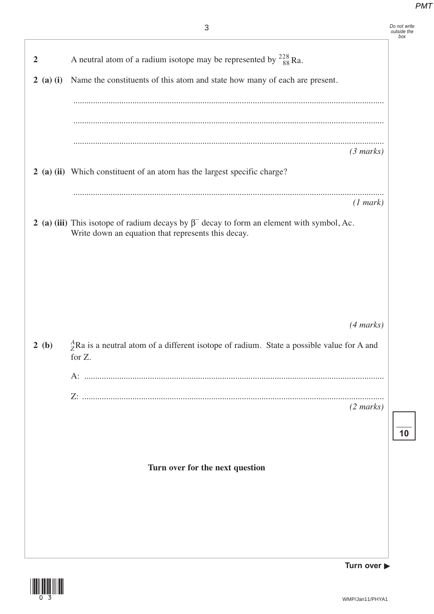*Do not write outside the box*

| $\overline{2}$                | A neutral atom of a radium isotope may be represented by $^{228}_{88}$ Ra.                                                                             |
|-------------------------------|--------------------------------------------------------------------------------------------------------------------------------------------------------|
| $(a)$ $(i)$<br>$\overline{2}$ | Name the constituents of this atom and state how many of each are present.                                                                             |
|                               |                                                                                                                                                        |
|                               |                                                                                                                                                        |
|                               |                                                                                                                                                        |
|                               | $(3 \text{ marks})$                                                                                                                                    |
|                               | 2 (a) (ii) Which constituent of an atom has the largest specific charge?                                                                               |
|                               | (1 mark)                                                                                                                                               |
|                               | 2 (a) (iii) This isotope of radium decays by $\beta^-$ decay to form an element with symbol, Ac.<br>Write down an equation that represents this decay. |
|                               |                                                                                                                                                        |
|                               |                                                                                                                                                        |
|                               |                                                                                                                                                        |
|                               | $(4 \text{ marks})$                                                                                                                                    |
| 2(b)                          | $^{A}_{Z}$ Ra is a neutral atom of a different isotope of radium. State a possible value for A and                                                     |
|                               | for Z.                                                                                                                                                 |
|                               |                                                                                                                                                        |
|                               | $(2 \text{ marks})$                                                                                                                                    |
|                               |                                                                                                                                                        |
|                               |                                                                                                                                                        |
|                               | Turn over for the next question                                                                                                                        |
|                               |                                                                                                                                                        |
|                               |                                                                                                                                                        |
|                               |                                                                                                                                                        |
|                               |                                                                                                                                                        |
|                               |                                                                                                                                                        |



**Turn over** 

**10**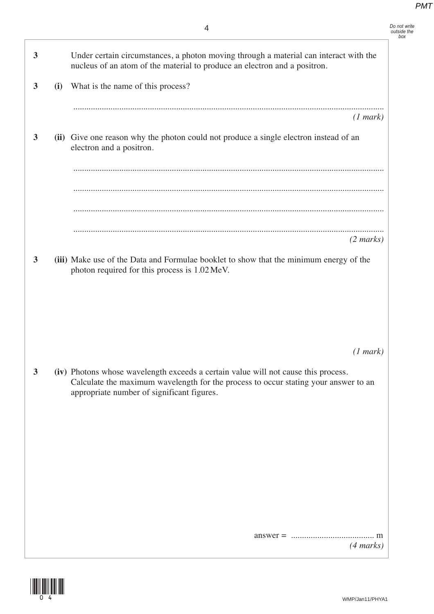*Do not write outside the box*

**3** Under certain circumstances, a photon moving through a material can interact with the nucleus of an atom of the material to produce an electron and a positron.

| (1 mark)                                                                                                                                                                                                                |
|-------------------------------------------------------------------------------------------------------------------------------------------------------------------------------------------------------------------------|
| (ii) Give one reason why the photon could not produce a single electron instead of an<br>electron and a positron.                                                                                                       |
|                                                                                                                                                                                                                         |
|                                                                                                                                                                                                                         |
|                                                                                                                                                                                                                         |
| $(2 \text{ marks})$                                                                                                                                                                                                     |
| (iii) Make use of the Data and Formulae booklet to show that the minimum energy of the<br>photon required for this process is 1.02 MeV.                                                                                 |
|                                                                                                                                                                                                                         |
|                                                                                                                                                                                                                         |
|                                                                                                                                                                                                                         |
| (1 mark)                                                                                                                                                                                                                |
| (iv) Photons whose wavelength exceeds a certain value will not cause this process.<br>Calculate the maximum wavelength for the process to occur stating your answer to an<br>appropriate number of significant figures. |
|                                                                                                                                                                                                                         |
|                                                                                                                                                                                                                         |
|                                                                                                                                                                                                                         |
|                                                                                                                                                                                                                         |
|                                                                                                                                                                                                                         |
|                                                                                                                                                                                                                         |

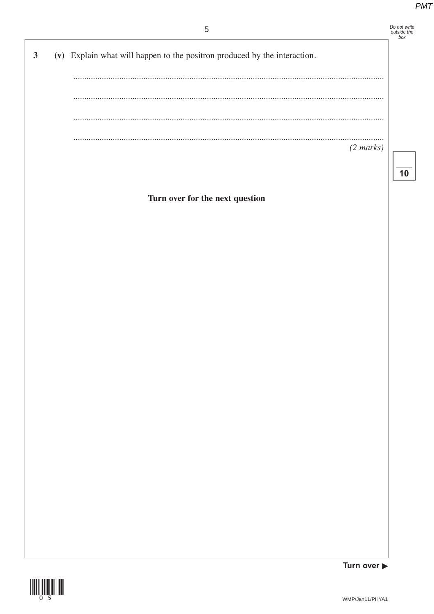# Do not write<br>outside the<br>box

| $\mathbf{3}$ | (v) Explain what will happen to the positron produced by the interaction. |                          |
|--------------|---------------------------------------------------------------------------|--------------------------|
|              |                                                                           |                          |
|              | $\cdots$                                                                  |                          |
|              | $\cdots$                                                                  |                          |
|              | $\cdots$                                                                  | .<br>$(2 \text{ marks})$ |
|              |                                                                           |                          |

Turn over for the next question



Turn over  $\blacktriangleright$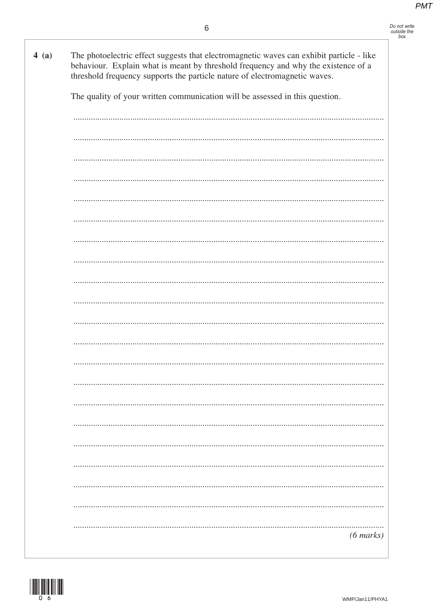|     | Do not write |
|-----|--------------|
|     | outside the  |
| hov |              |

| 4(a) | The photoelectric effect suggests that electromagnetic waves can exhibit particle - like<br>behaviour. Explain what is meant by threshold frequency and why the existence of a<br>threshold frequency supports the particle nature of electromagnetic waves. |
|------|--------------------------------------------------------------------------------------------------------------------------------------------------------------------------------------------------------------------------------------------------------------|
|      | The quality of your written communication will be assessed in this question.                                                                                                                                                                                 |
|      |                                                                                                                                                                                                                                                              |
|      |                                                                                                                                                                                                                                                              |
|      |                                                                                                                                                                                                                                                              |
|      |                                                                                                                                                                                                                                                              |
|      |                                                                                                                                                                                                                                                              |
|      |                                                                                                                                                                                                                                                              |
|      |                                                                                                                                                                                                                                                              |
|      |                                                                                                                                                                                                                                                              |
|      |                                                                                                                                                                                                                                                              |
|      |                                                                                                                                                                                                                                                              |
|      |                                                                                                                                                                                                                                                              |
|      |                                                                                                                                                                                                                                                              |
|      |                                                                                                                                                                                                                                                              |
|      |                                                                                                                                                                                                                                                              |
|      |                                                                                                                                                                                                                                                              |
|      |                                                                                                                                                                                                                                                              |
|      |                                                                                                                                                                                                                                                              |
|      |                                                                                                                                                                                                                                                              |
|      |                                                                                                                                                                                                                                                              |
|      |                                                                                                                                                                                                                                                              |
|      | $(6 \text{ marks})$                                                                                                                                                                                                                                          |

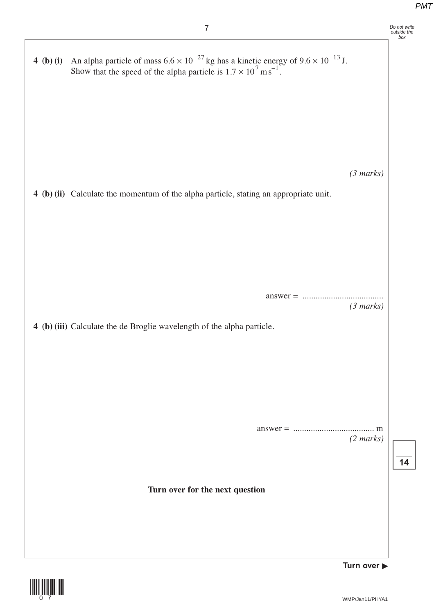

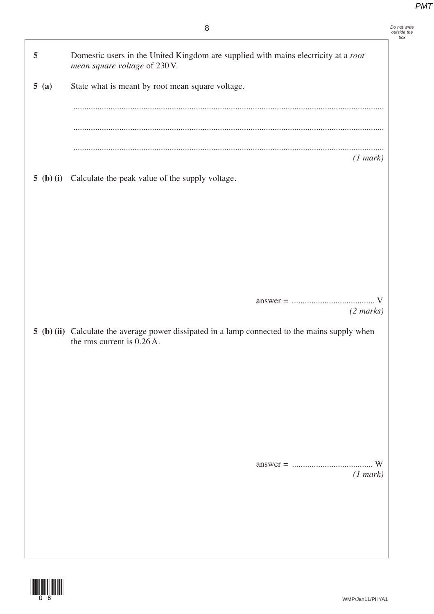|           | 8                                                                                                                            | Do not write<br>outside the<br>box |
|-----------|------------------------------------------------------------------------------------------------------------------------------|------------------------------------|
| 5         | Domestic users in the United Kingdom are supplied with mains electricity at a root<br>mean square voltage of 230 V.          |                                    |
| 5(a)      | State what is meant by root mean square voltage.                                                                             |                                    |
|           |                                                                                                                              |                                    |
|           |                                                                                                                              |                                    |
|           | (1 mark)                                                                                                                     |                                    |
| 5 (b) (i) | Calculate the peak value of the supply voltage.                                                                              |                                    |
|           |                                                                                                                              |                                    |
|           |                                                                                                                              |                                    |
|           |                                                                                                                              |                                    |
|           |                                                                                                                              |                                    |
|           |                                                                                                                              |                                    |
|           | $(2 \text{ marks})$                                                                                                          |                                    |
|           | 5 (b) (ii) Calculate the average power dissipated in a lamp connected to the mains supply when<br>the rms current is 0.26 A. |                                    |
|           |                                                                                                                              |                                    |
|           |                                                                                                                              |                                    |
|           |                                                                                                                              |                                    |
|           |                                                                                                                              |                                    |
|           |                                                                                                                              |                                    |
|           |                                                                                                                              |                                    |
|           | (1 mark)                                                                                                                     |                                    |
|           |                                                                                                                              |                                    |
|           |                                                                                                                              |                                    |
|           |                                                                                                                              |                                    |

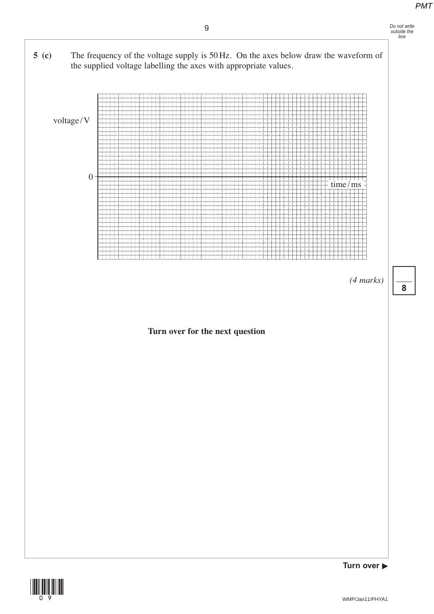



*(4 marks)*

**8**



(09)

**Turn over**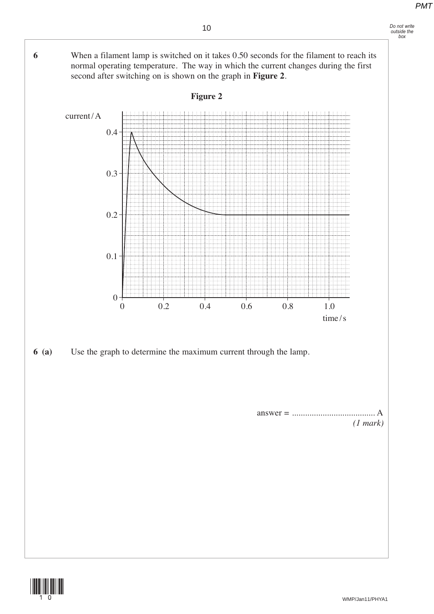**6** When a filament lamp is switched on it takes 0.50 seconds for the filament to reach its

**Figure 2**

second after switching on is shown on the graph in **Figure 2**.

normal operating temperature. The way in which the current changes during the first

*Do not write outside the box*





*(1 mark)*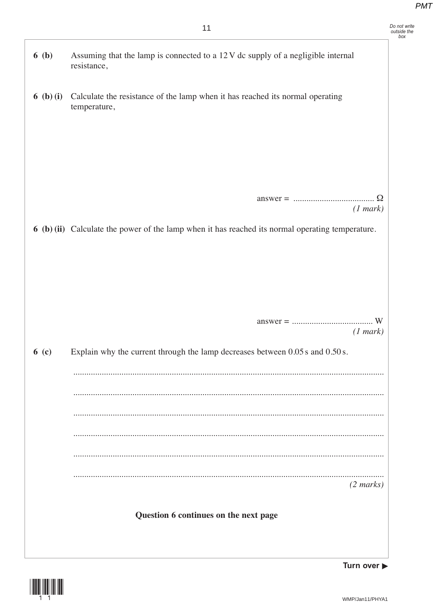Do not write<br>outside the<br>box

| 6(b)    | Assuming that the lamp is connected to a 12 V dc supply of a negligible internal<br>resistance,              |
|---------|--------------------------------------------------------------------------------------------------------------|
| 6(b)(i) | Calculate the resistance of the lamp when it has reached its normal operating<br>temperature,                |
|         | (1 mark)<br>6 (b) (ii) Calculate the power of the lamp when it has reached its normal operating temperature. |
|         |                                                                                                              |
|         | (1 mark)                                                                                                     |
| 6( c)   | Explain why the current through the lamp decreases between 0.05 s and 0.50 s.                                |
|         |                                                                                                              |
|         |                                                                                                              |
|         |                                                                                                              |
|         | $(2 \text{ marks})$                                                                                          |
|         | Question 6 continues on the next page                                                                        |



Turn over  $\blacktriangleright$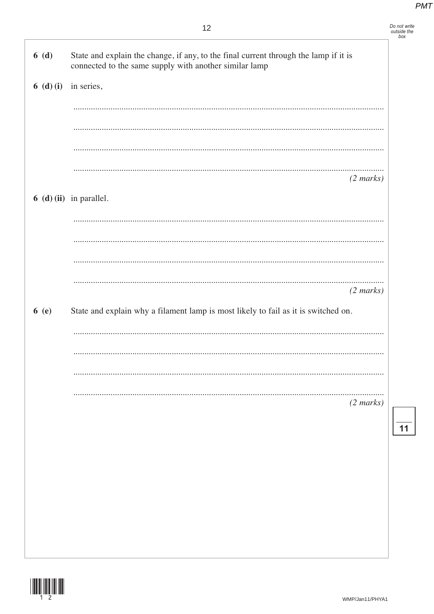Do not write<br>outside the<br>box

| 6(d)    | State and explain the change, if any, to the final current through the lamp if it is<br>connected to the same supply with another similar lamp |  |
|---------|------------------------------------------------------------------------------------------------------------------------------------------------|--|
| 6(d)(i) | in series,                                                                                                                                     |  |
|         |                                                                                                                                                |  |
|         |                                                                                                                                                |  |
|         |                                                                                                                                                |  |
|         |                                                                                                                                                |  |
|         | $(2 \text{ marks})$                                                                                                                            |  |
|         | $6$ (d) (ii) in parallel.                                                                                                                      |  |
|         |                                                                                                                                                |  |
|         |                                                                                                                                                |  |
|         |                                                                                                                                                |  |
|         |                                                                                                                                                |  |
|         | $(2 \text{ marks})$                                                                                                                            |  |
| 6(e)    | State and explain why a filament lamp is most likely to fail as it is switched on.                                                             |  |
|         |                                                                                                                                                |  |
|         |                                                                                                                                                |  |
|         |                                                                                                                                                |  |
|         |                                                                                                                                                |  |
|         | $(2 \text{ marks})$                                                                                                                            |  |
|         |                                                                                                                                                |  |
|         |                                                                                                                                                |  |
|         |                                                                                                                                                |  |
|         |                                                                                                                                                |  |
|         |                                                                                                                                                |  |
|         |                                                                                                                                                |  |



 $\overline{11}$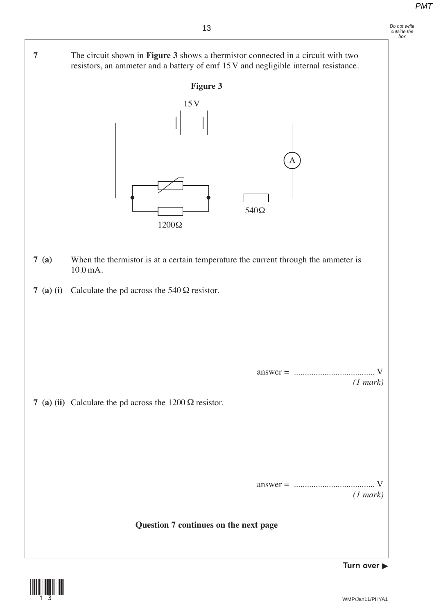resistors, an ammeter and a battery of emf 15 V and negligible internal resistance.

**7** The circuit shown in **Figure 3** shows a thermistor connected in a circuit with two

**Figure 3 7 (a)** When the thermistor is at a certain temperature the current through the ammeter is 10.0 mA. **7 (a) (i)** Calculate the pd across the 540 Ω resistor. answer = ..................................... V *(1 mark)* **7 (a) (ii)** Calculate the pd across the 1200 Ω resistor. answer = ..................................... V *(1 mark)* **Question 7 continues on the next page** 540Ω 1200Ω 15V A



**Turn over**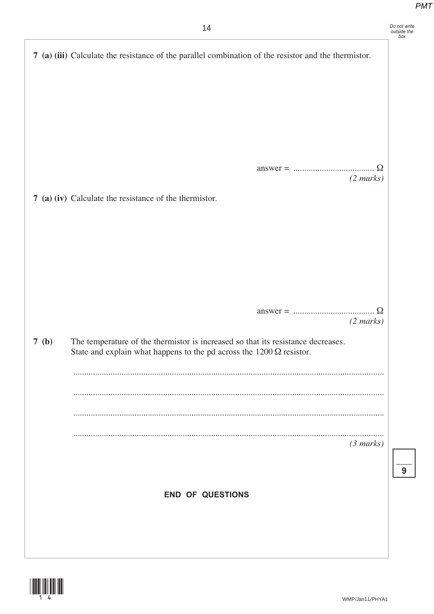|  |  |  | PM |
|--|--|--|----|
|  |  |  |    |
|  |  |  |    |

|      | 14                                                                                                                                                              | Do not write<br>outside the<br>box |
|------|-----------------------------------------------------------------------------------------------------------------------------------------------------------------|------------------------------------|
|      | 7 (a) (iii) Calculate the resistance of the parallel combination of the resistor and the thermistor.                                                            |                                    |
|      |                                                                                                                                                                 |                                    |
|      |                                                                                                                                                                 |                                    |
|      |                                                                                                                                                                 |                                    |
|      |                                                                                                                                                                 |                                    |
|      |                                                                                                                                                                 |                                    |
|      |                                                                                                                                                                 |                                    |
|      | $(2 \text{ marks})$                                                                                                                                             |                                    |
|      | 7 (a) (iv) Calculate the resistance of the thermistor.                                                                                                          |                                    |
|      |                                                                                                                                                                 |                                    |
|      |                                                                                                                                                                 |                                    |
|      |                                                                                                                                                                 |                                    |
|      |                                                                                                                                                                 |                                    |
|      |                                                                                                                                                                 |                                    |
|      | $(2 \text{ marks})$                                                                                                                                             |                                    |
| 7(b) | The temperature of the thermistor is increased so that its resistance decreases.<br>State and explain what happens to the pd across the $1200 \Omega$ resistor. |                                    |
|      |                                                                                                                                                                 |                                    |
|      |                                                                                                                                                                 |                                    |
|      |                                                                                                                                                                 |                                    |
|      |                                                                                                                                                                 |                                    |
|      | (3 marks)                                                                                                                                                       |                                    |
|      |                                                                                                                                                                 | 9                                  |
|      |                                                                                                                                                                 |                                    |
|      | <b>END OF QUESTIONS</b>                                                                                                                                         |                                    |
|      |                                                                                                                                                                 |                                    |
|      |                                                                                                                                                                 |                                    |
|      |                                                                                                                                                                 |                                    |

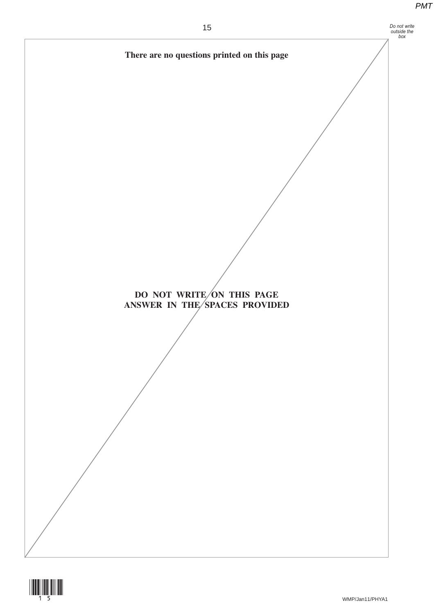**There are no questions printed on this page**

**DO NOT WRITE/ON THIS PAGE ANSWER IN THE/SPACES PROVIDED**